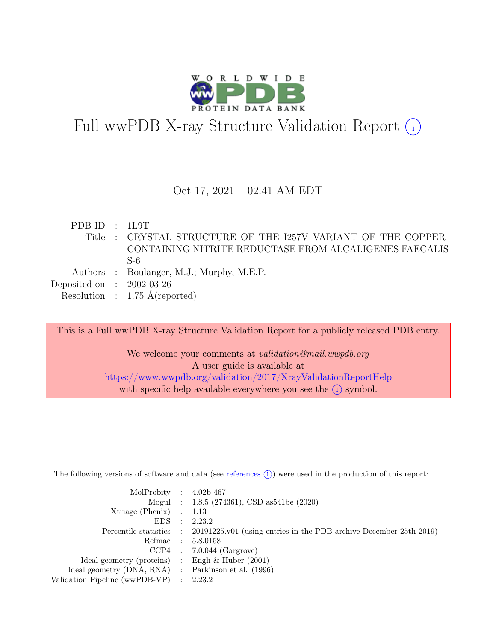

# Full wwPDB X-ray Structure Validation Report  $(i)$

#### Oct 17, 2021 – 02:41 AM EDT

PDB ID : 1L9T Title : CRYSTAL STRUCTURE OF THE I257V VARIANT OF THE COPPER-CONTAINING NITRITE REDUCTASE FROM ALCALIGENES FAECALIS S-6 Authors : Boulanger, M.J.; Murphy, M.E.P. Deposited on : 2002-03-26 Resolution : 1.75 Å(reported)

This is a Full wwPDB X-ray Structure Validation Report for a publicly released PDB entry.

We welcome your comments at *validation@mail.wwpdb.org* A user guide is available at <https://www.wwpdb.org/validation/2017/XrayValidationReportHelp> with specific help available everywhere you see the  $(i)$  symbol.

The following versions of software and data (see [references](https://www.wwpdb.org/validation/2017/XrayValidationReportHelp#references)  $(i)$ ) were used in the production of this report:

| MolProbity : $4.02b-467$                            |           |                                                                                            |
|-----------------------------------------------------|-----------|--------------------------------------------------------------------------------------------|
|                                                     |           | Mogul : 1.8.5 (274361), CSD as 541be (2020)                                                |
| Xtriage (Phenix) $: 1.13$                           |           |                                                                                            |
| EDS                                                 | $\cdot$ : | 2.23.2                                                                                     |
|                                                     |           | Percentile statistics : 20191225.v01 (using entries in the PDB archive December 25th 2019) |
|                                                     |           | Refmac : 5.8.0158                                                                          |
|                                                     |           | $CCP4$ : 7.0.044 (Gargrove)                                                                |
| Ideal geometry (proteins) : Engh $\&$ Huber (2001)  |           |                                                                                            |
| Ideal geometry (DNA, RNA) : Parkinson et al. (1996) |           |                                                                                            |
| Validation Pipeline (wwPDB-VP) : 2.23.2             |           |                                                                                            |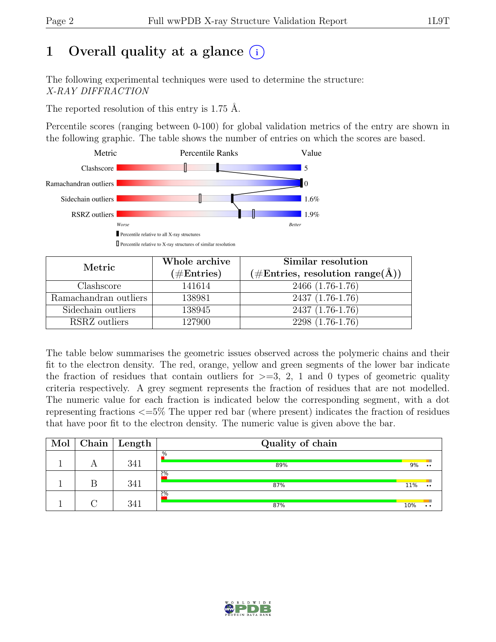# 1 Overall quality at a glance  $(i)$

The following experimental techniques were used to determine the structure: X-RAY DIFFRACTION

The reported resolution of this entry is 1.75 Å.

Percentile scores (ranging between 0-100) for global validation metrics of the entry are shown in the following graphic. The table shows the number of entries on which the scores are based.



| Metric                | Whole archive<br>$(\#Entries)$ | Similar resolution<br>$(\# \text{Entries}, \text{ resolution range}(\text{A}))$ |
|-----------------------|--------------------------------|---------------------------------------------------------------------------------|
| Clashscore            | 141614                         | 2466 (1.76-1.76)                                                                |
| Ramachandran outliers | 138981                         | 2437 (1.76-1.76)                                                                |
| Sidechain outliers    | 138945                         | 2437 (1.76-1.76)                                                                |
| RSRZ outliers         | 127900                         | 2298 (1.76-1.76)                                                                |

The table below summarises the geometric issues observed across the polymeric chains and their fit to the electron density. The red, orange, yellow and green segments of the lower bar indicate the fraction of residues that contain outliers for  $>=$  3, 2, 1 and 0 types of geometric quality criteria respectively. A grey segment represents the fraction of residues that are not modelled. The numeric value for each fraction is indicated below the corresponding segment, with a dot representing fractions <=5% The upper red bar (where present) indicates the fraction of residues that have poor fit to the electron density. The numeric value is given above the bar.

| Mol |   | Chain Length | Quality of chain |     |           |
|-----|---|--------------|------------------|-----|-----------|
|     | A | 341          | %<br>89%         | 9%  | $\bullet$ |
|     | B | 341          | 2%<br>87%        | 11% | $\bullet$ |
|     |   | 341          | 2%<br>87%        | 10% |           |

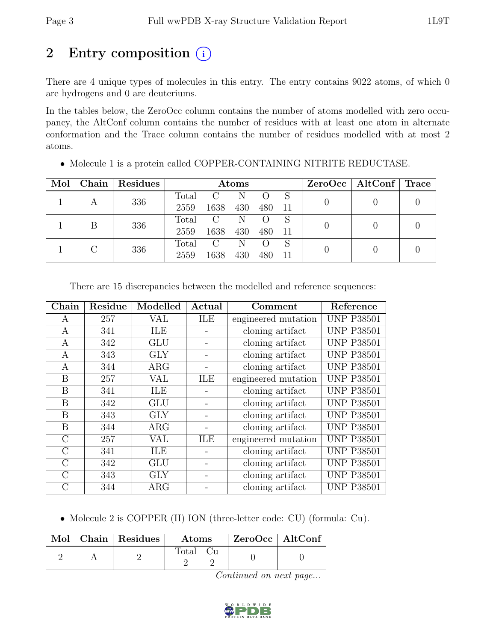## 2 Entry composition  $(i)$

There are 4 unique types of molecules in this entry. The entry contains 9022 atoms, of which 0 are hydrogens and 0 are deuteriums.

In the tables below, the ZeroOcc column contains the number of atoms modelled with zero occupancy, the AltConf column contains the number of residues with at least one atom in alternate conformation and the Trace column contains the number of residues modelled with at most 2 atoms.

| Mol |     | Chain   Residues | Atoms |               |     |                  |     | $ZeroOcc \mid AltConf \mid$ | $\operatorname{Trace}$ |  |
|-----|-----|------------------|-------|---------------|-----|------------------|-----|-----------------------------|------------------------|--|
|     |     |                  | Total | $\mathcal{C}$ | N   |                  |     |                             |                        |  |
|     |     | 336              | 2559  | 1638          | 430 | 480              |     |                             |                        |  |
|     |     | 336              | Total | $\rm C$       | N   | $\left( \right)$ | S   |                             |                        |  |
|     |     |                  | 2559  | 1638          | 430 | 480              | -11 |                             |                        |  |
|     |     |                  | Total | $\rm C$       | N   |                  | S   |                             |                        |  |
|     | 336 | 2559             | 1638  | 430           | 480 | 11               |     |                             |                        |  |

• Molecule 1 is a protein called COPPER-CONTAINING NITRITE REDUCTASE.

| Chain   | Residue | Modelled   | Actual<br>Comment          |                     | Reference         |
|---------|---------|------------|----------------------------|---------------------|-------------------|
| A       | 257     | VAL        | ILE<br>engineered mutation |                     | <b>UNP P38501</b> |
| A       | 341     | ILE        |                            | cloning artifact    | <b>UNP P38501</b> |
| A       | 342     | <b>GLU</b> |                            | cloning artifact    | <b>UNP P38501</b> |
| A       | 343     | <b>GLY</b> |                            | cloning artifact    | <b>UNP P38501</b> |
| A       | 344     | $\rm{ARG}$ |                            | cloning artifact    | <b>UNP P38501</b> |
| Β       | 257     | VAL        | ILE                        | engineered mutation | <b>UNP P38501</b> |
| B       | 341     | ILE        |                            | cloning artifact    | <b>UNP P38501</b> |
| B       | 342     | <b>GLU</b> |                            | cloning artifact    | <b>UNP P38501</b> |
| B       | 343     | <b>GLY</b> |                            | cloning artifact    | <b>UNP P38501</b> |
| B       | 344     | $\rm{ARG}$ |                            | cloning artifact    | <b>UNP P38501</b> |
| $\rm C$ | 257     | VAL        | ILE                        | engineered mutation | <b>UNP P38501</b> |
| $\rm C$ | 341     | ILE        |                            | cloning artifact    | <b>UNP P38501</b> |
| $\rm C$ | 342     | <b>GLU</b> |                            | cloning artifact    | <b>UNP P38501</b> |
| $\rm C$ | 343     | <b>GLY</b> |                            | cloning artifact    | <b>UNP P38501</b> |
| $\rm C$ | 344     | ARG        |                            | cloning artifact    | <b>UNP P38501</b> |

There are 15 discrepancies between the modelled and reference sequences:

• Molecule 2 is COPPER (II) ION (three-letter code: CU) (formula: Cu).

|  | $Mol$   Chain   Residues | <b>Atoms</b> | $ZeroOcc \   \ AltConf$ |  |
|--|--------------------------|--------------|-------------------------|--|
|  |                          | Total        |                         |  |

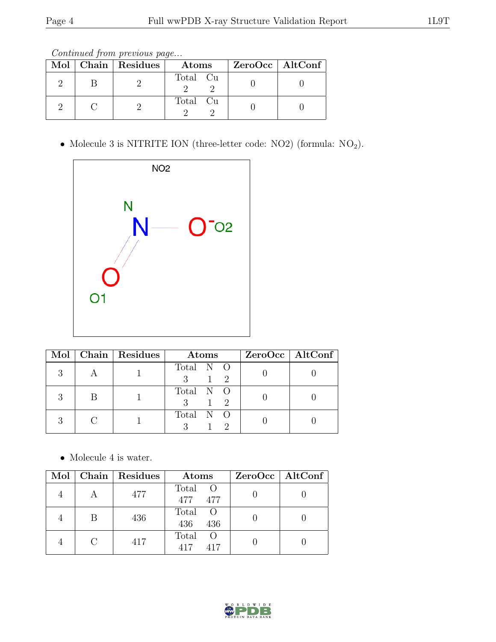| Continued from previous page |  |  |
|------------------------------|--|--|
|                              |  |  |

|  | Mol   Chain   Residues | Atoms    | ZeroOcc   AltConf |
|--|------------------------|----------|-------------------|
|  |                        | Total Cu |                   |
|  |                        | Total Cu |                   |

 $\bullet$  Molecule 3 is NITRITE ION (three-letter code: NO2) (formula:  $\rm NO_2).$ 



|  | Mol   Chain   Residues | Atoms                       | $ZeroOcc \   \$ AltConf |
|--|------------------------|-----------------------------|-------------------------|
|  |                        | Total N O<br>$\overline{2}$ |                         |
|  |                        | Total N O                   |                         |
|  |                        | Total N O                   |                         |

 $\bullet\,$  Molecule 4 is water.

| Mol |   | Chain Residues | Atoms                                     | $ZeroOcc \   \$ AltConf |
|-----|---|----------------|-------------------------------------------|-------------------------|
|     |   | 477            | Total O<br>477 477                        |                         |
|     | В | 436            | Total O<br>436<br>436                     |                         |
|     |   | 417            | Total<br>$\left($ $\right)$<br>417<br>417 |                         |

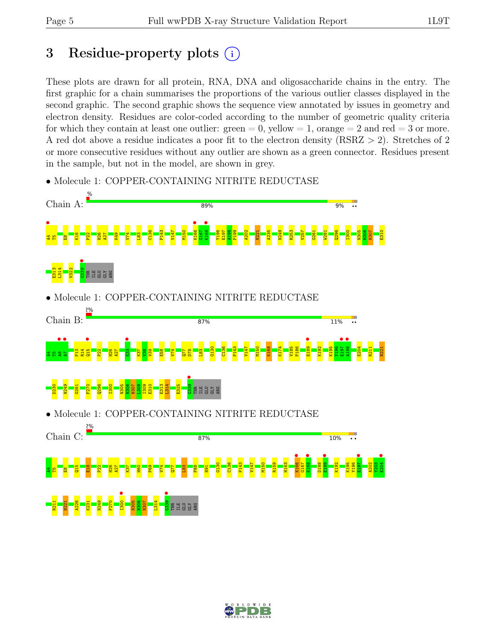## 3 Residue-property plots  $(i)$

These plots are drawn for all protein, RNA, DNA and oligosaccharide chains in the entry. The first graphic for a chain summarises the proportions of the various outlier classes displayed in the second graphic. The second graphic shows the sequence view annotated by issues in geometry and electron density. Residues are color-coded according to the number of geometric quality criteria for which they contain at least one outlier:  $green = 0$ , yellow  $= 1$ , orange  $= 2$  and red  $= 3$  or more. A red dot above a residue indicates a poor fit to the electron density (RSRZ > 2). Stretches of 2 or more consecutive residues without any outlier are shown as a green connector. Residues present in the sample, but not in the model, are shown in grey.



• Molecule 1: COPPER-CONTAINING NITRITE REDUCTASE

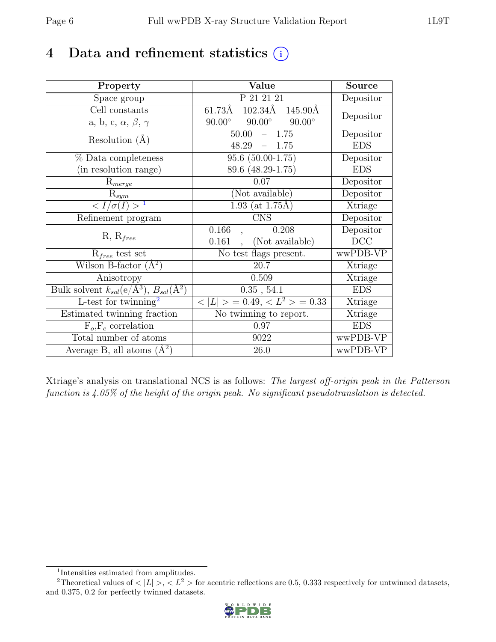## 4 Data and refinement statistics  $(i)$

| Property                                                             | <b>Value</b>                                     | Source     |
|----------------------------------------------------------------------|--------------------------------------------------|------------|
| Space group                                                          | P 21 21 21                                       | Depositor  |
| Cell constants                                                       | $102.34\overline{\text{A}}$<br>61.73Å<br>145.90Å |            |
| a, b, c, $\alpha$ , $\beta$ , $\gamma$                               | $90.00^\circ$<br>$90.00^\circ$<br>$90.00^\circ$  | Depositor  |
| Resolution $(A)$                                                     | 1.75<br>50.00                                    | Depositor  |
|                                                                      | 48.29<br>1.75                                    | <b>EDS</b> |
| % Data completeness                                                  | $95.6(50.00-1.75)$                               | Depositor  |
| (in resolution range)                                                | 89.6 (48.29-1.75)                                | <b>EDS</b> |
| $R_{merge}$                                                          | 0.07                                             | Depositor  |
| $R_{sym}$                                                            | (Not available)                                  | Depositor  |
| $\langle I/\sigma(I) \rangle^{-1}$                                   | $1.93$ (at 1.75Å)                                | Xtriage    |
| Refinement program                                                   | $\mathrm{CNS}$                                   | Depositor  |
|                                                                      | 0.166<br>0.208                                   | Depositor  |
| $R, R_{free}$                                                        | (Not available)<br>0.161                         | DCC        |
| $R_{free}$ test set                                                  | No test flags present.                           | wwPDB-VP   |
| Wilson B-factor $(A^2)$                                              | 20.7                                             | Xtriage    |
| Anisotropy                                                           | 0.509                                            | Xtriage    |
| Bulk solvent $k_{sol}(e/\mathring{A}^3)$ , $B_{sol}(\mathring{A}^2)$ | 0.35, 54.1                                       | <b>EDS</b> |
| L-test for twinning <sup>2</sup>                                     | $< L >$ = 0.49, $< L2$ > = 0.33                  | Xtriage    |
| Estimated twinning fraction                                          | No twinning to report.                           | Xtriage    |
| $F_o, F_c$ correlation                                               | 0.97                                             | <b>EDS</b> |
| Total number of atoms                                                | 9022                                             | wwPDB-VP   |
| Average B, all atoms $(A^2)$                                         | 26.0                                             | wwPDB-VP   |

Xtriage's analysis on translational NCS is as follows: The largest off-origin peak in the Patterson function is 4.05% of the height of the origin peak. No significant pseudotranslation is detected.

<sup>&</sup>lt;sup>2</sup>Theoretical values of  $\langle |L| \rangle$ ,  $\langle L^2 \rangle$  for acentric reflections are 0.5, 0.333 respectively for untwinned datasets, and 0.375, 0.2 for perfectly twinned datasets.



<span id="page-5-1"></span><span id="page-5-0"></span><sup>1</sup> Intensities estimated from amplitudes.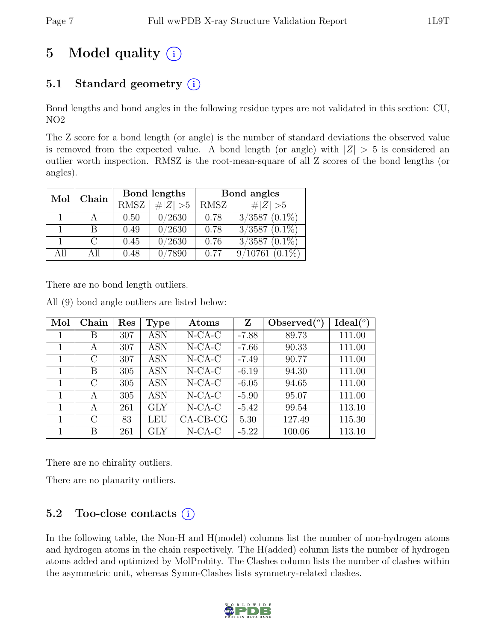# 5 Model quality  $(i)$

## 5.1 Standard geometry  $(i)$

Bond lengths and bond angles in the following residue types are not validated in this section: CU, NO2

The Z score for a bond length (or angle) is the number of standard deviations the observed value is removed from the expected value. A bond length (or angle) with  $|Z| > 5$  is considered an outlier worth inspection. RMSZ is the root-mean-square of all Z scores of the bond lengths (or angles).

| Mol<br>Chain |     |             | Bond lengths | Bond angles |                      |  |
|--------------|-----|-------------|--------------|-------------|----------------------|--|
|              |     | <b>RMSZ</b> | # $ Z >5$    | RMSZ        | # $ Z >5$            |  |
|              |     | 0.50        | 0/2630       | 0.78        | $3/3587$ $(0.1\%)$   |  |
|              | В   | 0.49        | 0/2630       | 0.78        | $3/3587$ $(0.1\%)$   |  |
|              | C   | 0.45        | 0/2630       | 0.76        | $3/3587$ $(0.1\%)$   |  |
| A 11         | All | 0.48        | 7890         | 0.77        | 9/10761<br>$(0.1\%)$ |  |

There are no bond length outliers.

All (9) bond angle outliers are listed below:

| Mol | Chain   | Res | <b>Type</b>  | Atoms      | Z       | Observed $(°)$ | $Ideal(^o)$ |
|-----|---------|-----|--------------|------------|---------|----------------|-------------|
| 1   | Β       | 307 | <b>ASN</b>   | $N$ -CA-C  | $-7.88$ | 89.73          | 111.00      |
|     | A       | 307 | ASN          | $N$ -CA-C  | $-7.66$ | 90.33          | 111.00      |
|     | $\rm C$ | 307 | ASN          | $N$ -CA-C  | $-7.49$ | 90.77          | 111.00      |
|     | В       | 305 | <b>ASN</b>   | $N$ -CA-C  | $-6.19$ | 94.30          | 111.00      |
| 1   | C       | 305 | <b>ASN</b>   | $N$ -CA-C  | $-6.05$ | 94.65          | 111.00      |
|     | A       | 305 | ASN          | $N$ -CA-C  | $-5.90$ | 95.07          | 111.00      |
|     | A       | 261 | $\rm GLY$    | $N$ -CA-C  | $-5.42$ | 99.54          | 113.10      |
|     | C       | 83  | LEU          | $CA-CB-CG$ | 5.30    | 127.49         | 115.30      |
|     | В       | 261 | $_{\rm GLY}$ | $N$ -CA-C  | $-5.22$ | 100.06         | 113.10      |

There are no chirality outliers.

There are no planarity outliers.

## 5.2 Too-close contacts  $(i)$

In the following table, the Non-H and H(model) columns list the number of non-hydrogen atoms and hydrogen atoms in the chain respectively. The H(added) column lists the number of hydrogen atoms added and optimized by MolProbity. The Clashes column lists the number of clashes within the asymmetric unit, whereas Symm-Clashes lists symmetry-related clashes.

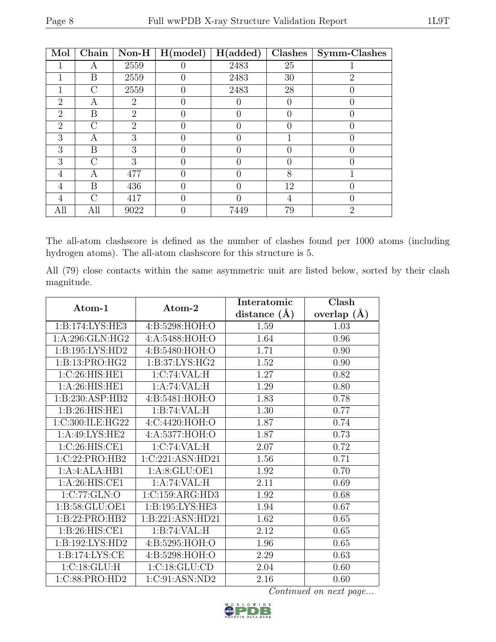| Mol            | Chain  | $\mathbf{Non-H}$ | H (model)        | H(added)         | Clashes          | Symm-Clashes   |
|----------------|--------|------------------|------------------|------------------|------------------|----------------|
|                | A      | 2559             |                  | 2483             | 25               |                |
|                | Β      | 2559             | $\mathbf{0}$     | 2483             | 30               | $\overline{2}$ |
|                | $\cap$ | 2559             |                  | 2483             | 28               |                |
| 2              | А      | 2                |                  |                  | $\left( \right)$ |                |
| $\overline{2}$ | B      | $\overline{2}$   | $\left( \right)$ | $\left( \right)$ |                  |                |
| $\overline{2}$ | $\cap$ | $\overline{2}$   |                  |                  |                  |                |
| 3              | А      | 3                |                  |                  |                  |                |
| 3              | B      | 3                |                  |                  |                  |                |
| 3              | $\cap$ | 3                |                  |                  |                  |                |
| 4              | А      | 477              | $\left( \right)$ | 0                | 8                |                |
| 4              | Β      | 436              |                  |                  | 12               |                |
| 4              | $\cap$ | 417              |                  |                  | 4                |                |
| All            | All    | 9022             |                  | 7449             | 79               | $\overline{2}$ |

The all-atom clashscore is defined as the number of clashes found per 1000 atoms (including hydrogen atoms). The all-atom clashscore for this structure is 5.

All (79) close contacts within the same asymmetric unit are listed below, sorted by their clash magnitude.

| Atom-1              | Atom-2           | Interatomic    | Clash           |
|---------------------|------------------|----------------|-----------------|
|                     |                  | distance $(A)$ | overlap $(\AA)$ |
| 1:B:174:LYS:HE3     | 4:B:5298:HOH:O   | 1.59           | 1.03            |
| 1:A:296:GLN:HG2     | 4:A:5488:HOH:O   | 1.64           | 0.96            |
| 1:B:195:LYS:HD2     | 4:B:5480:HOH:O   | 1.71           | 0.90            |
| 1:B:13:PRO:HG2      | 1:B:37:LYS:HG2   | 1.52           | 0.90            |
| 1:C:26:HIS:HE1      | 1:C:74:VAL:HI    | 1.27           | 0.82            |
| 1: A:26: HIS: HE1   | 1:A:74:VAL:H     | 1.29           | 0.80            |
| 1:B:230:ASP:HB2     | 4:B:5481:HOH:O   | 1.83           | 0.78            |
| 1:B:26:HIS:HE1      | 1:B:74:VAL:H     | 1.30           | 0.77            |
| 1:C:300:ILE:HG22    | 4:C:4420:HOH:O   | 1.87           | 0.74            |
| 1:A:49:LYS:HE2      | 4:A:5377:HOH:O   | 1.87           | 0.73            |
| 1:C:26:HIS:CE1      | 1:C:74:VAL:HI    | 2.07           | 0.72            |
| 1:C:22:PRO:HB2      | 1:C:221:ASN:HD21 | 1.56           | 0.71            |
| 1:A:4:ALA:HB1       | 1:A:8:GLU:OE1    | 1.92           | 0.70            |
| 1: A:26: HIS: CE1   | 1:A:74:VAL:H     | 2.11           | 0.69            |
| 1:C:77:GLN:O        | 1:C:159:ARG:HD3  | 1.92           | 0.68            |
| 1: B:58: GLU:OE1    | 1:B:195:LYS:HE3  | 1.94           | 0.67            |
| 1:B:22:PRO:HB2      | 1:B:221:ASN:HD21 | 1.62           | 0.65            |
| 1: B:26: HIS: CE1   | 1:B:74:VAL:H     | 2.12           | 0.65            |
| 1: B: 192: LYS: HD2 | 4:B:5295:HOH:O   | 1.96           | 0.65            |
| 1: B: 174: LYS: CE  | 4:B:5298:HOH:O   | 2.29           | 0.63            |
| 1:C:18:GLU:H        | 1:C:18:GLU:CD    | 2.04           | 0.60            |
| 1:C:88:PRO:HD2      | 1:C:91:ASN:ND2   | 2.16           | 0.60            |

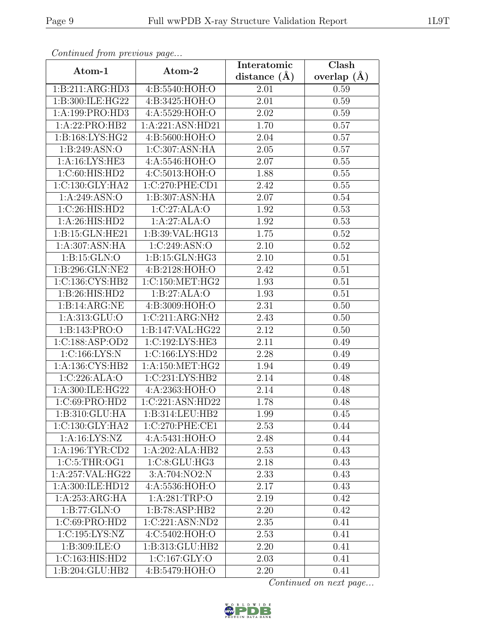| Continuea from previous page |                   | Interatomic       | Clash         |  |
|------------------------------|-------------------|-------------------|---------------|--|
| Atom-1                       | Atom-2            | distance $(\AA)$  | overlap $(A)$ |  |
| 1:B:211:ARG:HD3              | 4:B:5540:HOH:O    | 2.01              | 0.59          |  |
| 1:B:300:ILE:HG22             | 4:B:3425:HOH:O    | $\overline{2.01}$ | 0.59          |  |
| 1:A:199:PRO:HD3              | 4: A: 5529: HOH:O | 2.02              | 0.59          |  |
| 1:A:22:PRO:HB2               | 1:A:221:ASN:HD21  | 1.70              | 0.57          |  |
| 1:B:168:LYS:HG2              | 4:B:5600:HOH:O    | 2.04              | $0.57\,$      |  |
| 1:B:249:ASN:O                | 1:C:307:ASN:HA    | 2.05              | 0.57          |  |
| 1:A:16:LYS:HE3               | 4: A: 5546: HOH:O | 2.07              | 0.55          |  |
| 1:C:60:HIS:HD2               | 4:C:5013:HOH:O    | 1.88              | 0.55          |  |
| 1: C: 130: GLY: HA2          | 1:C:270:PHE:CD1   | 2.42              | 0.55          |  |
| 1:A:249:ASN:O                | 1:B:307:ASN:HA    | 2.07              | 0.54          |  |
| 1:C:26:HIS:HD2               | 1:C:27:ALA:O      | 1.92              | 0.53          |  |
| 1: A:26: HIS: HD2            | 1:A:27:ALA:O      | 1.92              | 0.53          |  |
| 1:B:15:GLN:HE21              | 1:B:39:VAL:HG13   | 1.75              | 0.52          |  |
| 1:A:307:ASN:HA               | 1:C:249:ASN:O     | 2.10              | 0.52          |  |
| 1: B: 15: GLN: O             | 1:B:15:GLN:HG3    | 2.10              | 0.51          |  |
| 1:B:296:GLN:NE2              | 4:B:2128:HOH:O    | 2.42              | 0.51          |  |
| 1: C: 136: CYS: HB2          | 1:C:150:MET:HG2   | 1.93              | 0.51          |  |
| 1:B:26:HIS:HD2               | 1:B:27:ALA:O      | 1.93              | 0.51          |  |
| 1:B:14:ARG:NE                | 4: B:3009:HOH:O   | 2.31              | 0.50          |  |
| 1: A: 313: GLU: O            | 1:C:211:ARG:NH2   | 2.43              | 0.50          |  |
| 1:B:143:PRO:O                | 1:B:147:VAL:HG22  | 2.12              | 0.50          |  |
| 1:C:188:ASP:OD2              | 1:C:192:LYS:HE3   | 2.11              | 0.49          |  |
| 1:C:166:LYS:N                | 1:C:166:LYS:HD2   | $\overline{2.28}$ | 0.49          |  |
| 1:A:136:CYS:HB2              | 1: A:150:MET:HG2  | 1.94              | 0.49          |  |
| 1:C:226:ALA:O                | 1:C:231:LYS:HB2   | 2.14              | 0.48          |  |
| 1:A:300:ILE:HG22             | 4:A:2363:HOH:O    | 2.14              | 0.48          |  |
| 1:C:69:PRO:HD2               | 1:C:221:ASN:HD22  | 1.78              | 0.48          |  |
| 1:B:310:GLU:HA               | 1:B:314:LEU:HB2   | 1.99              | 0.45          |  |
| 1:C:130:GLY:HA2              | 1:C:270:PHE:CE1   | 2.53              | 0.44          |  |
| 1: A: 16: LYS: NZ            | 4:A:5431:HOH:O    | 2.48              | 0.44          |  |
| 1: A:196: TYR: CD2           | 1:A:202:ALA:HB2   | 2.53              | 0.43          |  |
| 1:C:5:THR:OG1                | 1:C:8:GLU:HG3     | 2.18              | 0.43          |  |
| 1:A:257:VAL:HG22             | 3:A:704:NO2:N     | 2.33              | 0.43          |  |
| 1:A:300:ILE:HD12             | 4:A:5536:HOH:O    | 2.17              | 0.43          |  |
| 1:A:253:ARG:HA               | 1:A:281:TRP:O     | 2.19              | 0.42          |  |
| 1:B:77:GLN:O                 | 1:B:78:ASP:HB2    | 2.20              | 0.42          |  |
| 1:C:69:PRO:HD2               | 1:C:221:ASN:ND2   | 2.35              | 0.41          |  |
| 1:C:195:LYS:NZ               | 4:C:5402:HOH:O    | 2.53              | 0.41          |  |
| 1:B:309:ILE:O                | 1:B:313:GLU:HB2   | 2.20              | 0.41          |  |
| 1:C:163:HIS:HD2              | 1: C: 167: GLY: O | 2.03              | 0.41          |  |
| 1:B:204:GLU:HB2              | 4:B:5479:HOH:O    | 2.20              | 0.41          |  |

Continued from previous page.

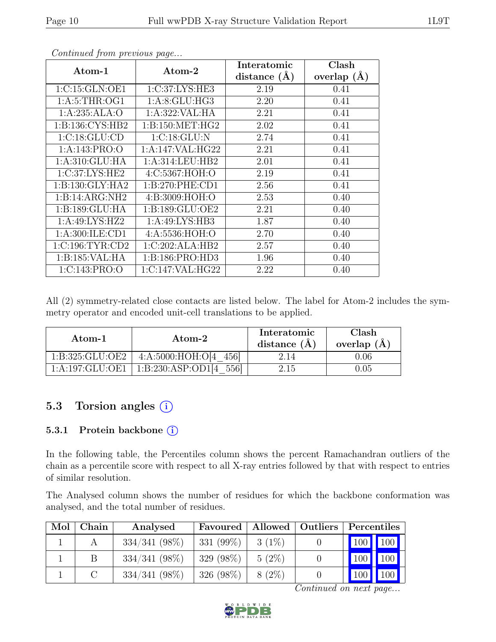| Atom-1              | Atom-2            | Interatomic      | Clash           |
|---------------------|-------------------|------------------|-----------------|
|                     |                   | distance $(\AA)$ | overlap $(\AA)$ |
| 1:C:15:GLN:OE1      | 1:C:37:LYS:HE3    | 2.19             | 0.41            |
| 1: A:5:THR:OG1      | 1: A:8: GLU: HG3  | 2.20             | 0.41            |
| 1:A:235:ALA:O       | 1:A:322:VAL:HA    | 2.21             | 0.41            |
| 1:B:136:CYS:HB2     | 1: B:150: MET:HG2 | 2.02             | 0.41            |
| 1:C:18:GLU:CD       | 1:C:18:GLU:N      | 2.74             | 0.41            |
| 1: A:143: PRO:O     | 1:A:147:VAL:HG22  | 2.21             | 0.41            |
| 1: A:310: GLU: HA   | 1: A:314:LEU:HB2  | 2.01             | 0.41            |
| 1:C:37:LYS:HE2      | 4:C:5367:HOH:O    | 2.19             | 0.41            |
| 1: B: 130: GLY: HA2 | 1: B:270: PHE:CD1 | 2.56             | 0.41            |
| 1:B:14:ARG:NH2      | 4: B: 3009: HOH:O | 2.53             | 0.40            |
| 1:B:189:GLU:HA      | 1:B:189:GLU:OE2   | 2.21             | 0.40            |
| 1:A:49:LYS:HZ2      | 1:A:49:LYS:HB3    | 1.87             | 0.40            |
| 1: A:300: ILE:CD1   | 4: A: 5536: HOH:O | 2.70             | 0.40            |
| 1:C:196:TYR:CD2     | 1:C:202:ALA:HB2   | 2.57             | 0.40            |
| 1:B:185:VAL:HA      | 1:B:186:PRO:HD3   | 1.96             | 0.40            |
| 1:C:143:PRO:O       | 1:C:147:VAL:HG22  | 2.22             | 0.40            |

Continued from previous page...

All (2) symmetry-related close contacts are listed below. The label for Atom-2 includes the symmetry operator and encoded unit-cell translations to be applied.

| Atom-1          | Atom-2                    | Interatomic<br>distance $(A)$ | Clash<br>overlap $(A)$ |
|-----------------|---------------------------|-------------------------------|------------------------|
| 1:B:325:GLU:OE2 | 4:A:5000:HOH:O[4 456]     | 2.14                          | $0.06\,$               |
| 1:A:197:GLU:OE1 | 1:B:230:ASP:OD1[4<br>5561 | 2.15                          | 0.05                   |

### 5.3 Torsion angles (i)

#### 5.3.1 Protein backbone (i)

In the following table, the Percentiles column shows the percent Ramachandran outliers of the chain as a percentile score with respect to all X-ray entries followed by that with respect to entries of similar resolution.

The Analysed column shows the number of residues for which the backbone conformation was analysed, and the total number of residues.

| Mol | Chain | Analysed         | Favoured     | Allowed  | Outliers | Percentiles |  |
|-----|-------|------------------|--------------|----------|----------|-------------|--|
|     |       | $334/341 (98\%)$ | 331 $(99\%)$ | $3(1\%)$ |          | 100 100     |  |
|     |       | $334/341$ (98%)  | 329 (98%)    | $5(2\%)$ |          | 100 100     |  |
|     |       | $334/341 (98\%)$ | $326(98\%)$  | $8(2\%)$ |          | 100 100     |  |

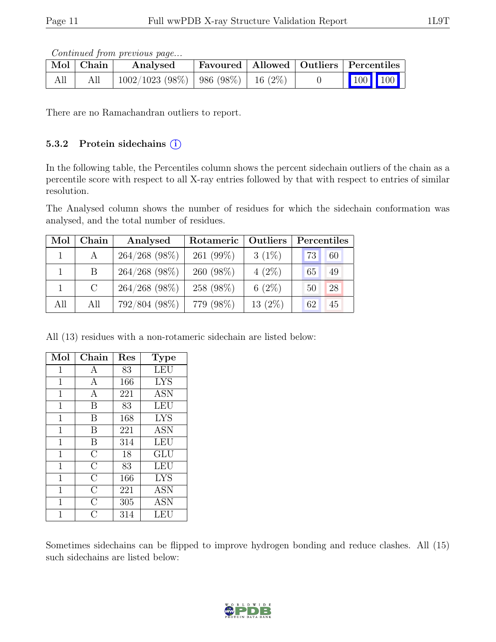Continued from previous page...

|     | $\mid$ Mol $\mid$ Chain | Analysed                                      |  | Favoured   Allowed   Outliers   Percentiles              |
|-----|-------------------------|-----------------------------------------------|--|----------------------------------------------------------|
| All | All                     | $\perp$ 1002/1023 (98%)   986 (98%)   16 (2%) |  | $\begin{array}{ c c c }\n\hline\n100 & 100\n\end{array}$ |

There are no Ramachandran outliers to report.

#### 5.3.2 Protein sidechains (i)

In the following table, the Percentiles column shows the percent sidechain outliers of the chain as a percentile score with respect to all X-ray entries followed by that with respect to entries of similar resolution.

The Analysed column shows the number of residues for which the sidechain conformation was analysed, and the total number of residues.

| Mol | Chain   | Analysed        | Rotameric    | Outliers  | Percentiles |
|-----|---------|-----------------|--------------|-----------|-------------|
|     | A       | $264/268$ (98%) | 261 $(99\%)$ | $3(1\%)$  | 73<br>60    |
|     | Β       | $264/268$ (98%) | $260(98\%)$  | $4(2\%)$  | 65<br>49    |
|     | $\rm C$ | $264/268$ (98%) | 258 (98%)    | 6 $(2\%)$ | 28<br>50    |
| All | All     | 792/804 (98%)   | 779 (98%)    | $13(2\%)$ | 62<br>45    |

All (13) residues with a non-rotameric sidechain are listed below:

| Mol            | Chain          | Res | <b>Type</b> |
|----------------|----------------|-----|-------------|
| 1              | Α              | 83  | LEU         |
| $\mathbf{1}$   | A              | 166 | <b>LYS</b>  |
| 1              | A              | 221 | <b>ASN</b>  |
| $\overline{1}$ | B              | 83  | LEU         |
| $\mathbf{1}$   | B              | 168 | <b>LYS</b>  |
| $\mathbf 1$    | В              | 221 | <b>ASN</b>  |
| 1              | В              | 314 | LEU         |
| $\overline{1}$ | $\overline{C}$ | 18  | GLU         |
| $\mathbf 1$    | $\overline{C}$ | 83  | <b>LEU</b>  |
| 1              | $\overline{C}$ | 166 | <b>LYS</b>  |
| $\mathbf 1$    | $\overline{C}$ | 221 | <b>ASN</b>  |
| 1              | $\overline{C}$ | 305 | <b>ASN</b>  |
|                | C              | 314 | LEU         |

Sometimes sidechains can be flipped to improve hydrogen bonding and reduce clashes. All (15) such sidechains are listed below:

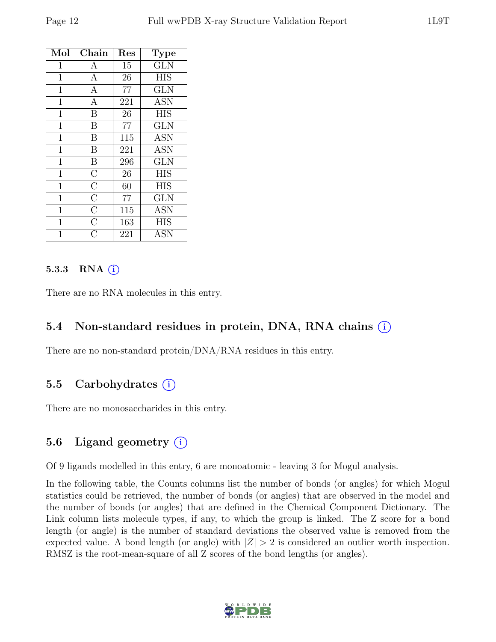| Mol            | Chain              | Res | <b>Type</b> |
|----------------|--------------------|-----|-------------|
| 1              | А                  | 15  | <b>GLN</b>  |
| $\mathbf{1}$   | $\overline{A}$     | 26  | <b>HIS</b>  |
| $\overline{1}$ | $\mathbf{A}$       | 77  | <b>GLN</b>  |
| $\overline{1}$ | $\overline{A}$     | 221 | <b>ASN</b>  |
| $\mathbf{1}$   | B                  | 26  | <b>HIS</b>  |
| $\mathbf 1$    | B                  | 77  | <b>GLN</b>  |
| $\mathbf{1}$   | B                  | 115 | <b>ASN</b>  |
| $\mathbf{1}$   | B                  | 221 | <b>ASN</b>  |
| $\overline{1}$ | B                  | 296 | <b>GLN</b>  |
| $\mathbf{1}$   | $\overline{\rm C}$ | 26  | <b>HIS</b>  |
| $\overline{1}$ | $\overline{\rm C}$ | 60  | <b>HIS</b>  |
| $\mathbf{1}$   | $\overline{C}$     | 77  | <b>GLN</b>  |
| $\mathbf 1$    | $\overline{\rm C}$ | 115 | <b>ASN</b>  |
| $\overline{1}$ | $\overline{\rm C}$ | 163 | <b>HIS</b>  |
| $\overline{1}$ | $\overline{C}$     | 221 | <b>ASN</b>  |

#### 5.3.3 RNA  $(i)$

There are no RNA molecules in this entry.

#### 5.4 Non-standard residues in protein, DNA, RNA chains (i)

There are no non-standard protein/DNA/RNA residues in this entry.

#### 5.5 Carbohydrates  $(i)$

There are no monosaccharides in this entry.

### 5.6 Ligand geometry  $(i)$

Of 9 ligands modelled in this entry, 6 are monoatomic - leaving 3 for Mogul analysis.

In the following table, the Counts columns list the number of bonds (or angles) for which Mogul statistics could be retrieved, the number of bonds (or angles) that are observed in the model and the number of bonds (or angles) that are defined in the Chemical Component Dictionary. The Link column lists molecule types, if any, to which the group is linked. The Z score for a bond length (or angle) is the number of standard deviations the observed value is removed from the expected value. A bond length (or angle) with  $|Z| > 2$  is considered an outlier worth inspection. RMSZ is the root-mean-square of all Z scores of the bond lengths (or angles).

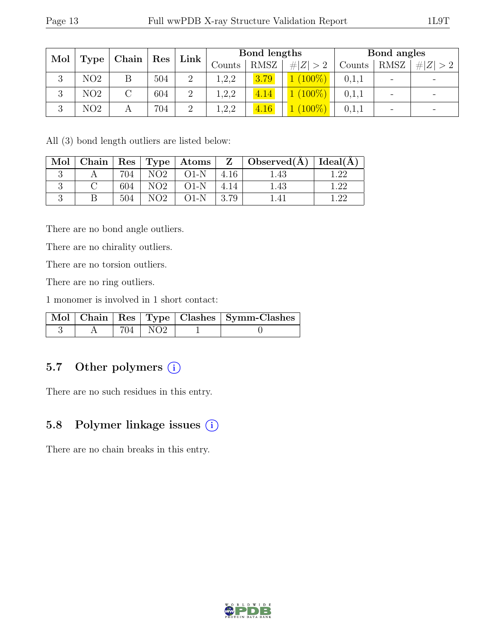| Mol           | $\parallel$ Type $\parallel$ | ${\rm Chain \mid Res}$ |     | $\lfloor$ Link $\rfloor$ | Bond lengths |             |             | Bond angles |                          |             |
|---------------|------------------------------|------------------------|-----|--------------------------|--------------|-------------|-------------|-------------|--------------------------|-------------|
|               |                              |                        |     |                          | Counts       | <b>RMSZ</b> | # $ Z  > 2$ | Counts      | <b>RMSZ</b>              | # $ Z  > 2$ |
| $\Omega$<br>€ | NO2                          |                        | 504 | $\overline{2}$           | 1,2,2        | 3.79        | $(100\%)$   | 0,1,1       | $\qquad \qquad$          |             |
| 3             | NO2                          |                        | 604 | 2                        | 1,2,2        | 4.14        | $(100\%)$   | 0,1,1       | $\overline{\phantom{a}}$ |             |
| 3             | NO <sub>2</sub>              |                        | 704 | $\overline{2}$           | 1,2,2        | 4.16        | $(100\%)$   | 0,1,1       | $\overline{\phantom{m}}$ |             |

All (3) bond length outliers are listed below:

| Mol |     |                 |        |      | $\vert$ Chain $\vert$ Res $\vert$ Type $\vert$ Atoms $\vert$ Z $\vert$ Observed(A) $\vert$ Ideal(A) |  |
|-----|-----|-----------------|--------|------|-----------------------------------------------------------------------------------------------------|--|
|     | 704 | NO <sub>2</sub> | $O1-N$ | 4.16 | 1.43                                                                                                |  |
|     | 604 | NO <sub>2</sub> | $O1-N$ | 4.14 | 1.43                                                                                                |  |
|     | 504 | NO2.            | $O1-N$ | 3.79 |                                                                                                     |  |

There are no bond angle outliers.

There are no chirality outliers.

There are no torsion outliers.

There are no ring outliers.

1 monomer is involved in 1 short contact:

|  |           | Mol   Chain   Res   Type   Clashes   Symm-Clashes |
|--|-----------|---------------------------------------------------|
|  | 704   NO2 |                                                   |

### 5.7 Other polymers (i)

There are no such residues in this entry.

## 5.8 Polymer linkage issues  $(i)$

There are no chain breaks in this entry.

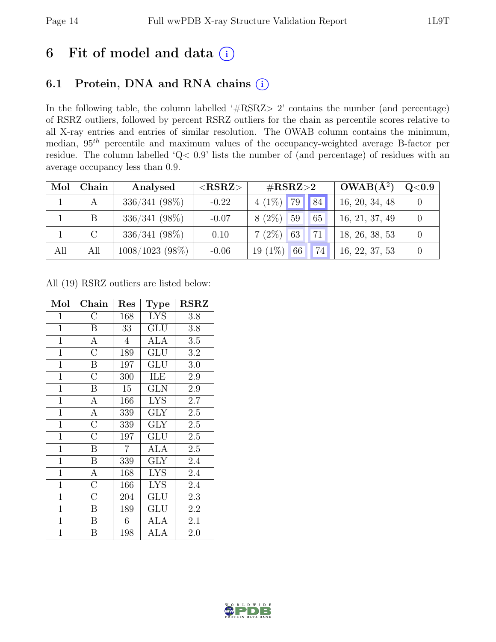## 6 Fit of model and data  $(i)$

## 6.1 Protein, DNA and RNA chains (i)

In the following table, the column labelled ' $\#\text{RSRZ}>2$ ' contains the number (and percentage) of RSRZ outliers, followed by percent RSRZ outliers for the chain as percentile scores relative to all X-ray entries and entries of similar resolution. The OWAB column contains the minimum, median, 95th percentile and maximum values of the occupancy-weighted average B-factor per residue. The column labelled 'Q< 0.9' lists the number of (and percentage) of residues with an average occupancy less than 0.9.

| Mol | Chain   | Analysed          | ${ <\hspace{-1.5pt}{\mathrm{RSRZ}} \hspace{-1.5pt}>}$ | $\#\text{RSRZ}\text{>2}$ | $OWAB(A^2)$    | $\rm Q\textcolor{black}{<}0.9$ |
|-----|---------|-------------------|-------------------------------------------------------|--------------------------|----------------|--------------------------------|
|     |         | 336/341 (98%)     | $-0.22$                                               | $4(1\%)$ 79<br> 84       | 16, 20, 34, 48 |                                |
|     |         | $336/341 (98\%)$  | $-0.07$                                               | $8(2\%)$<br>59<br>65     | 16, 21, 37, 49 |                                |
|     | $\rm C$ | $336/341(98\%)$   | 0.10                                                  | $7(2\%)$ 63<br>71        | 18, 26, 38, 53 |                                |
| All | All     | $1008/1023$ (98%) | $-0.06$                                               | $19(1\%)$<br>74<br>66    | 16, 22, 37, 53 |                                |

All (19) RSRZ outliers are listed below:

| Mol            | Chain              | Res            | Type       | <b>RSRZ</b> |
|----------------|--------------------|----------------|------------|-------------|
| $\mathbf{1}$   | $\rm C$            | 168            | <b>LYS</b> | 3.8         |
| $\mathbf{1}$   | $\boldsymbol{B}$   | 33             | GLU        | 3.8         |
| $\mathbf{1}$   | $\mathbf{A}$       | $\overline{4}$ | ALA        | $3.5\,$     |
| $\overline{1}$ | $\overline{\rm C}$ | 189            | GLU        | 3.2         |
| $\overline{1}$ | $\overline{B}$     | 197            | GLU        | 3.0         |
| $\overline{1}$ | $\overline{\rm C}$ | 300            | ILE        | 2.9         |
| $\mathbf{1}$   | $\boldsymbol{B}$   | 15             | <b>GLN</b> | $2.9\,$     |
| $\mathbf{1}$   | $\boldsymbol{A}$   | 166            | <b>LYS</b> | 2.7         |
| $\mathbf{1}$   | $\overline{A}$     | 339            | <b>GLY</b> | 2.5         |
| $\mathbf{1}$   | $\overline{\rm C}$ | 339            | <b>GLY</b> | 2.5         |
| $\mathbf{1}$   | $\overline{\rm C}$ | 197            | GLU        | 2.5         |
| $\mathbf{1}$   | Β                  | $\overline{7}$ | ALA        | 2.5         |
| $\overline{1}$ | $\overline{B}$     | 339            | <b>GLY</b> | 2.4         |
| $\overline{1}$ | $\mathbf{A}$       | 168            | <b>LYS</b> | 2.4         |
| $\mathbf{1}$   | $\overline{\rm C}$ | 166            | <b>LYS</b> | 2.4         |
| $\mathbf{1}$   | $\overline{\rm C}$ | 204            | GLU        | 2.3         |
| $\mathbf{1}$   | Β                  | 189            | GLU        | 2.2         |
| $\mathbf{1}$   | B                  | 6              | ALA        | 2.1         |
| $\mathbf{1}$   | B                  | 198            | ALA        | 2.0         |